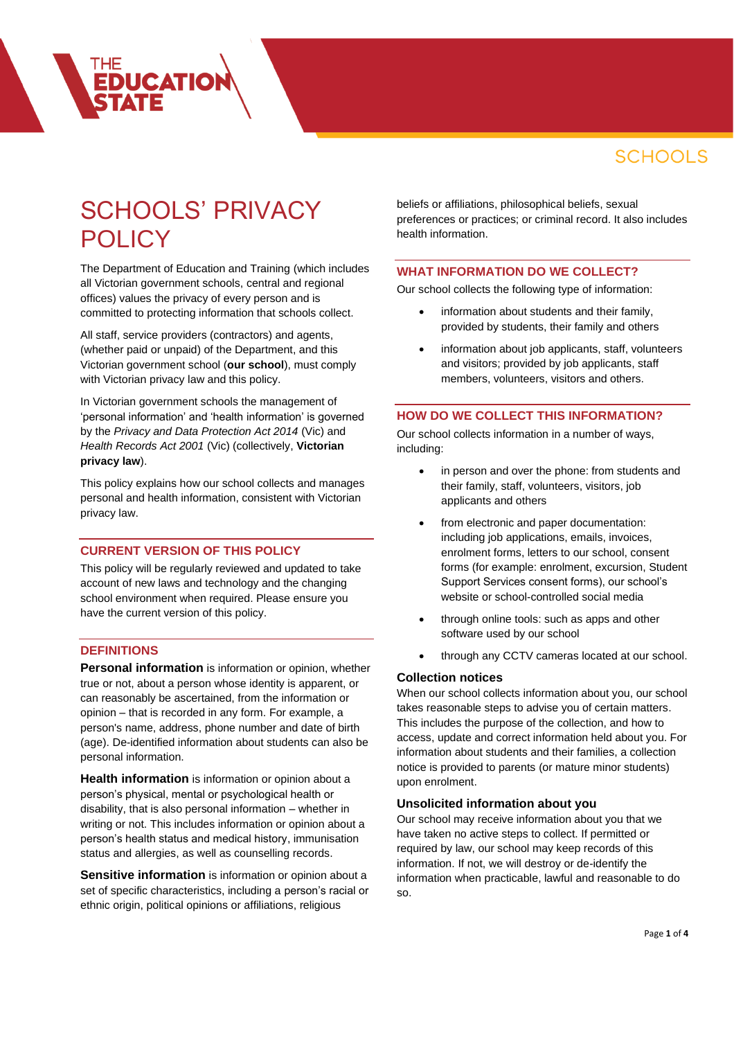# SCHOOLS' PRIVACY **POLICY**

**EDUCATION** 

The Department of Education and Training (which includes all Victorian government schools, central and regional offices) values the privacy of every person and is committed to protecting information that schools collect.

All staff, service providers (contractors) and agents, (whether paid or unpaid) of the Department, and this Victorian government school (**our school**), must comply with Victorian privacy law and this policy.

In Victorian government schools the management of 'personal information' and 'health information' is governed by the *Privacy and Data Protection Act 2014* (Vic) and *Health Records Act 2001* (Vic) (collectively, **Victorian privacy law**).

This policy explains how our school collects and manages personal and health information, consistent with Victorian privacy law.

# **CURRENT VERSION OF THIS POLICY**

This policy will be regularly reviewed and updated to take account of new laws and technology and the changing school environment when required. Please ensure you have the current version of this policy.

### **DEFINITIONS**

**Personal information** is information or opinion, whether true or not, about a person whose identity is apparent, or can reasonably be ascertained, from the information or opinion – that is recorded in any form. For example, a person's name, address, phone number and date of birth (age). De-identified information about students can also be personal information.

**Health information** is information or opinion about a person's physical, mental or psychological health or disability, that is also personal information – whether in writing or not. This includes information or opinion about a person's health status and medical history, immunisation status and allergies, as well as counselling records.

**Sensitive information** is information or opinion about a set of specific characteristics, including a person's racial or ethnic origin, political opinions or affiliations, religious

beliefs or affiliations, philosophical beliefs, sexual preferences or practices; or criminal record. It also includes health information.

#### **WHAT INFORMATION DO WE COLLECT?**

Our school collects the following type of information:

- information about students and their family, provided by students, their family and others
- information about job applicants, staff, volunteers and visitors; provided by job applicants, staff members, volunteers, visitors and others.

### **HOW DO WE COLLECT THIS INFORMATION?**

Our school collects information in a number of ways, including:

- in person and over the phone: from students and their family, staff, volunteers, visitors, job applicants and others
- from electronic and paper documentation: including job applications, emails, invoices, enrolment forms, letters to our school, consent forms (for example: enrolment, excursion, Student Support Services consent forms), our school's website or school-controlled social media
- through online tools: such as apps and other software used by our school
- through any CCTV cameras located at our school.

#### **Collection notices**

When our school collects information about you, our school takes reasonable steps to advise you of certain matters. This includes the purpose of the collection, and how to access, update and correct information held about you. For information about students and their families, a collection notice is provided to parents (or mature minor students) upon enrolment.

#### **Unsolicited information about you**

Our school may receive information about you that we have taken no active steps to collect. If permitted or required by law, our school may keep records of this information. If not, we will destroy or de-identify the information when practicable, lawful and reasonable to do so.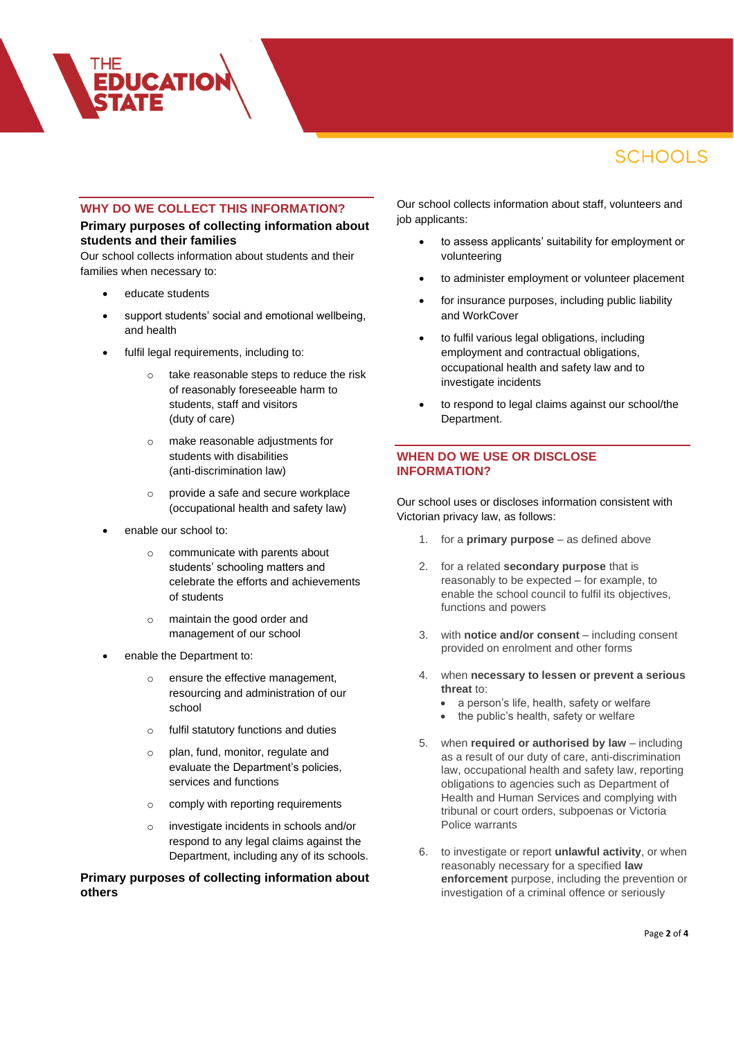### **WHY DO WE COLLECT THIS INFORMATION?**

# **Primary purposes of collecting information about students and their families**

Our school collects information about students and their families when necessary to:

educate students

**EDUCATION** 

- support students' social and emotional wellbeing, and health
- fulfil legal requirements, including to:
	- o take reasonable steps to reduce the risk of reasonably foreseeable harm to students, staff and visitors (duty of care)
	- o make reasonable adjustments for students with disabilities (anti-discrimination law)
	- o provide a safe and secure workplace (occupational health and safety law)
- enable our school to:
	- o communicate with parents about students' schooling matters and celebrate the efforts and achievements of students
	- o maintain the good order and management of our school
- enable the Department to:
	- o ensure the effective management, resourcing and administration of our school
	- o fulfil statutory functions and duties
	- o plan, fund, monitor, regulate and evaluate the Department's policies, services and functions
	- o comply with reporting requirements
	- o investigate incidents in schools and/or respond to any legal claims against the Department, including any of its schools.

### **Primary purposes of collecting information about others**

Our school collects information about staff, volunteers and job applicants:

- to assess applicants' suitability for employment or volunteering
- to administer employment or volunteer placement
- for insurance purposes, including public liability and WorkCover
- to fulfil various legal obligations, including employment and contractual obligations, occupational health and safety law and to investigate incidents
- to respond to legal claims against our school/the Department.

# **WHEN DO WE USE OR DISCLOSE INFORMATION?**

Our school uses or discloses information consistent with Victorian privacy law, as follows:

- 1. for a **primary purpose** as defined above
- 2. for a related **secondary purpose** that is reasonably to be expected – for example, to enable the school council to fulfil its objectives, functions and powers
- 3. with **notice and/or consent** including consent provided on enrolment and other forms
- 4. when **necessary to lessen or prevent a serious threat** to:
	- a person's life, health, safety or welfare
	- the public's health, safety or welfare
- 5. when **required or authorised by law** including as a result of our duty of care, anti-discrimination law, occupational health and safety law, reporting obligations to agencies such as Department of Health and Human Services and complying with tribunal or court orders, subpoenas or Victoria Police warrants
- 6. to investigate or report **unlawful activity**, or when reasonably necessary for a specified **law enforcement** purpose, including the prevention or investigation of a criminal offence or seriously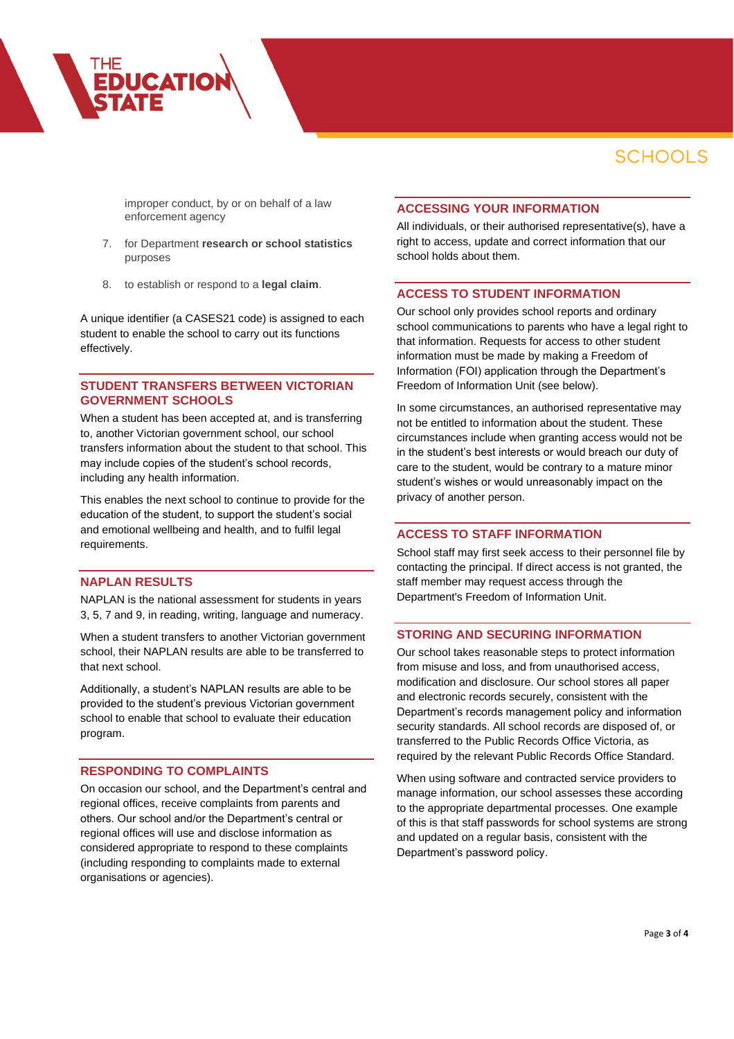improper conduct, by or on behalf of a law enforcement agency

- 7. for Department **research or school statistics** purposes
- 8. to establish or respond to a **legal claim**.

**EDUCATION** 

A unique identifier (a CASES21 code) is assigned to each student to enable the school to carry out its functions effectively.

### **STUDENT TRANSFERS BETWEEN VICTORIAN GOVERNMENT SCHOOLS**

When a student has been accepted at, and is transferring to, another Victorian government school, our school transfers information about the student to that school. This may include copies of the student's school records, including any health information.

This enables the next school to continue to provide for the education of the student, to support the student's social and emotional wellbeing and health, and to fulfil legal requirements.

### **NAPLAN RESULTS**

NAPLAN is the national assessment for students in years 3, 5, 7 and 9, in reading, writing, language and numeracy.

When a student transfers to another Victorian government school, their NAPLAN results are able to be transferred to that next school.

Additionally, a student's NAPLAN results are able to be provided to the student's previous Victorian government school to enable that school to evaluate their education program.

#### **RESPONDING TO COMPLAINTS**

On occasion our school, and the Department's central and regional offices, receive complaints from parents and others. Our school and/or the Department's central or regional offices will use and disclose information as considered appropriate to respond to these complaints (including responding to complaints made to external organisations or agencies).

# **ACCESSING YOUR INFORMATION**

All individuals, or their authorised representative(s), have a right to access, update and correct information that our school holds about them.

#### **ACCESS TO STUDENT INFORMATION**

Our school only provides school reports and ordinary school communications to parents who have a legal right to that information. Requests for access to other student information must be made by making a Freedom of Information (FOI) application through the Department's Freedom of Information Unit (see below).

In some circumstances, an authorised representative may not be entitled to information about the student. These circumstances include when granting access would not be in the student's best interests or would breach our duty of care to the student, would be contrary to a mature minor student's wishes or would unreasonably impact on the privacy of another person.

#### **ACCESS TO STAFF INFORMATION**

School staff may first seek access to their personnel file by contacting the principal. If direct access is not granted, the staff member may request access through the Department's Freedom of Information Unit.

#### **STORING AND SECURING INFORMATION**

Our school takes reasonable steps to protect information from misuse and loss, and from unauthorised access, modification and disclosure. Our school stores all paper and electronic records securely, consistent with the Department's records management policy and information security standards. All school records are disposed of, or transferred to the Public Records Office Victoria, as required by the relevant Public Records Office Standard.

When using software and contracted service providers to manage information, our school assesses these according to the appropriate departmental processes. One example of this is that staff passwords for school systems are strong and updated on a regular basis, consistent with the Department's password policy.